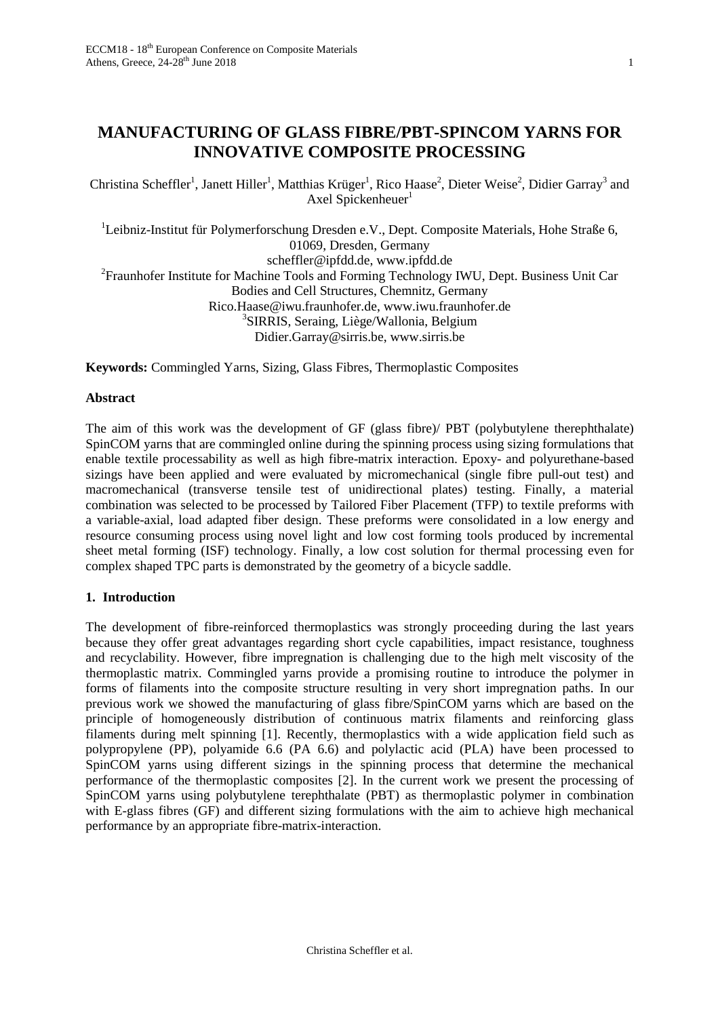# **MANUFACTURING OF GLASS FIBRE/PBT-SPINCOM YARNS FOR INNOVATIVE COMPOSITE PROCESSING**

Christina Scheffler<sup>1</sup>, Janett Hiller<sup>1</sup>, Matthias Krüger<sup>1</sup>, Rico Haase<sup>2</sup>, Dieter Weise<sup>2</sup>, Didier Garray<sup>3</sup> and Axel Spickenheuer $1$ 

<sup>1</sup>Leibniz-Institut für Polymerforschung Dresden e.V., Dept. Composite Materials, Hohe Straße 6, 01069, Dresden, Germany scheffler@ipfdd.de, www.ipfdd.de <sup>2</sup> Fraunhofer Institute for Machine Tools and Forming Technology IWU, Dept. Business Unit Car Bodies and Cell Structures, Chemnitz, Germany Rico.Haase@iwu.fraunhofer.de, www.iwu.fraunhofer.de <sup>3</sup>SIRRIS, Seraing, Liège/Wallonia, Belgium Didier.Garray@sirris.be, www.sirris.be

**Keywords:** Commingled Yarns, Sizing, Glass Fibres, Thermoplastic Composites

#### **Abstract**

The aim of this work was the development of GF (glass fibre)/ PBT (polybutylene therephthalate) SpinCOM yarns that are commingled online during the spinning process using sizing formulations that enable textile processability as well as high fibre-matrix interaction. Epoxy- and polyurethane-based sizings have been applied and were evaluated by micromechanical (single fibre pull-out test) and macromechanical (transverse tensile test of unidirectional plates) testing. Finally, a material combination was selected to be processed by Tailored Fiber Placement (TFP) to textile preforms with a variable-axial, load adapted fiber design. These preforms were consolidated in a low energy and resource consuming process using novel light and low cost forming tools produced by incremental sheet metal forming (ISF) technology. Finally, a low cost solution for thermal processing even for complex shaped TPC parts is demonstrated by the geometry of a bicycle saddle.

#### **1. Introduction**

The development of fibre-reinforced thermoplastics was strongly proceeding during the last years because they offer great advantages regarding short cycle capabilities, impact resistance, toughness and recyclability. However, fibre impregnation is challenging due to the high melt viscosity of the thermoplastic matrix. Commingled yarns provide a promising routine to introduce the polymer in forms of filaments into the composite structure resulting in very short impregnation paths. In our previous work we showed the manufacturing of glass fibre/SpinCOM yarns which are based on the principle of homogeneously distribution of continuous matrix filaments and reinforcing glass filaments during melt spinning [\[1\].](#page-7-0) Recently, thermoplastics with a wide application field such as polypropylene (PP), polyamide 6.6 (PA 6.6) and polylactic acid (PLA) have been processed to SpinCOM yarns using different sizings in the spinning process that determine the mechanical performance of the thermoplastic composites [\[2\].](#page-7-1) In the current work we present the processing of SpinCOM yarns using polybutylene terephthalate (PBT) as thermoplastic polymer in combination with E-glass fibres (GF) and different sizing formulations with the aim to achieve high mechanical performance by an appropriate fibre-matrix-interaction.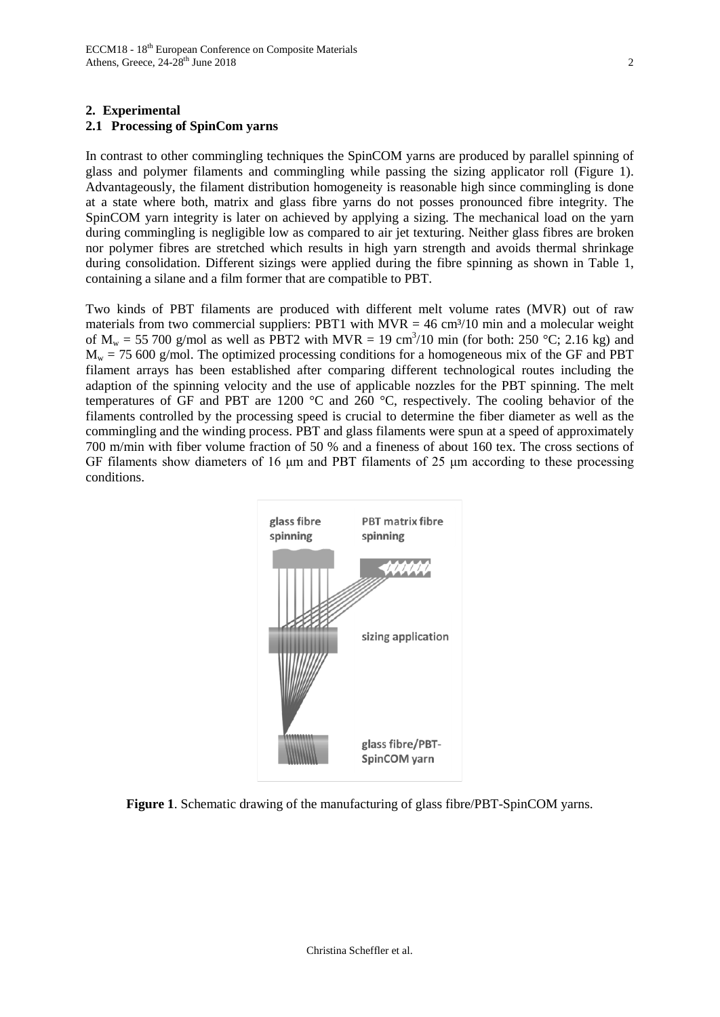## **2. Experimental**

## **2.1 Processing of SpinCom yarns**

In contrast to other commingling techniques the SpinCOM yarns are produced by parallel spinning of glass and polymer filaments and commingling while passing the sizing applicator roll [\(Figure 1\)](#page-1-0). Advantageously, the filament distribution homogeneity is reasonable high since commingling is done at a state where both, matrix and glass fibre yarns do not posses pronounced fibre integrity. The SpinCOM yarn integrity is later on achieved by applying a sizing. The mechanical load on the yarn during commingling is negligible low as compared to air jet texturing. Neither glass fibres are broken nor polymer fibres are stretched which results in high yarn strength and avoids thermal shrinkage during consolidation. Different sizings were applied during the fibre spinning as shown in [Table 1,](#page-2-0) containing a silane and a film former that are compatible to PBT.

Two kinds of PBT filaments are produced with different melt volume rates (MVR) out of raw materials from two commercial suppliers: PBT1 with  $MVR = 46$  cm<sup>3</sup>/10 min and a molecular weight of  $M_w = 55,700$  g/mol as well as PBT2 with MVR = 19 cm<sup>3</sup>/10 min (for both: 250 °C; 2.16 kg) and  $M_w$  = 75 600 g/mol. The optimized processing conditions for a homogeneous mix of the GF and PBT filament arrays has been established after comparing different technological routes including the adaption of the spinning velocity and the use of applicable nozzles for the PBT spinning. The melt temperatures of GF and PBT are 1200 °C and 260 °C, respectively. The cooling behavior of the filaments controlled by the processing speed is crucial to determine the fiber diameter as well as the commingling and the winding process. PBT and glass filaments were spun at a speed of approximately 700 m/min with fiber volume fraction of 50 % and a fineness of about 160 tex. The cross sections of GF filaments show diameters of 16  $\mu$ m and PBT filaments of 25  $\mu$ m according to these processing conditions.



<span id="page-1-0"></span>**Figure 1**. Schematic drawing of the manufacturing of glass fibre/PBT-SpinCOM yarns.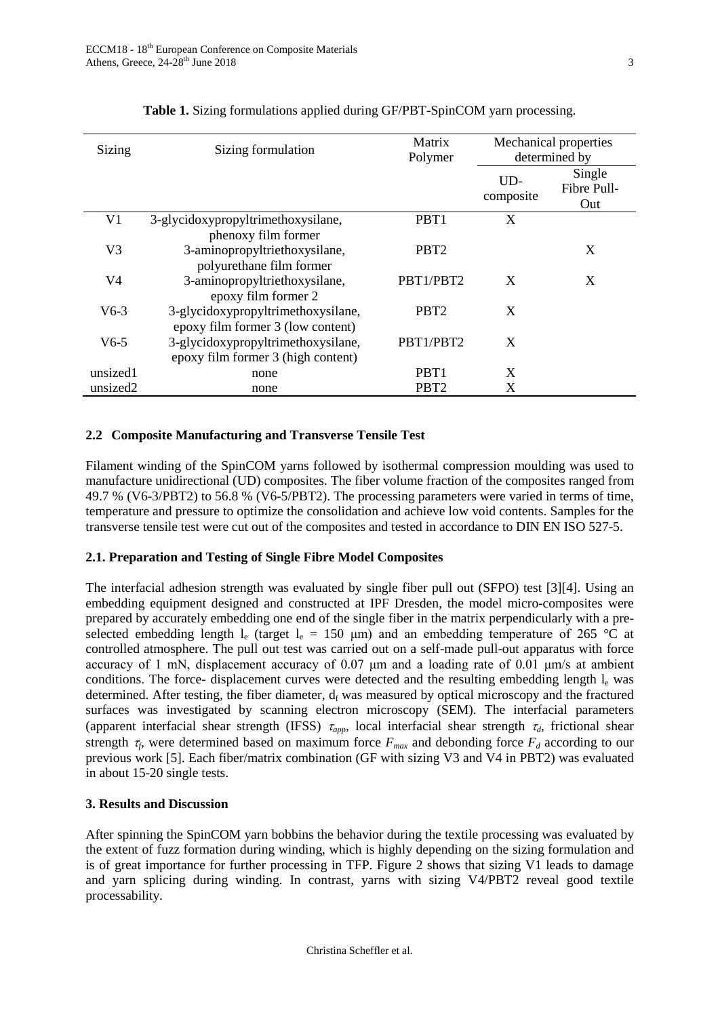<span id="page-2-0"></span>

| Sizing         | Sizing formulation                                                       | Matrix<br>Polymer | Mechanical properties<br>determined by |                              |
|----------------|--------------------------------------------------------------------------|-------------------|----------------------------------------|------------------------------|
|                |                                                                          |                   | UD-<br>composite                       | Single<br>Fibre Pull-<br>Out |
| V <sub>1</sub> | 3-glycidoxypropyltrimethoxysilane,<br>phenoxy film former                | PBT <sub>1</sub>  | X                                      |                              |
| V <sub>3</sub> | 3-aminopropyltriethoxysilane,<br>polyurethane film former                | PBT <sub>2</sub>  |                                        | X                            |
| V4             | 3-aminopropyltriethoxysilane,<br>epoxy film former 2                     | PBT1/PBT2         | X                                      | X                            |
| $V6-3$         | 3-glycidoxypropyltrimethoxysilane,<br>epoxy film former 3 (low content)  | PBT <sub>2</sub>  | X                                      |                              |
| $V6-5$         | 3-glycidoxypropyltrimethoxysilane,<br>epoxy film former 3 (high content) | PBT1/PBT2         | X                                      |                              |
| unsized1       | none                                                                     | PRT <sub>1</sub>  | X                                      |                              |
| unsized2       | none                                                                     | PBT <sub>2</sub>  | X                                      |                              |

# **Table 1.** Sizing formulations applied during GF/PBT-SpinCOM yarn processing.

# **2.2 Composite Manufacturing and Transverse Tensile Test**

Filament winding of the SpinCOM yarns followed by isothermal compression moulding was used to manufacture unidirectional (UD) composites. The fiber volume fraction of the composites ranged from 49.7 % (V6-3/PBT2) to 56.8 % (V6-5/PBT2). The processing parameters were varied in terms of time, temperature and pressure to optimize the consolidation and achieve low void contents. Samples for the transverse tensile test were cut out of the composites and tested in accordance to DIN EN ISO 527-5.

#### **2.1. Preparation and Testing of Single Fibre Model Composites**

The interfacial adhesion strength was evaluated by single fiber pull out (SFPO) test [\[3\]\[4\].](#page-7-2) Using an embedding equipment designed and constructed at IPF Dresden, the model micro-composites were prepared by accurately embedding one end of the single fiber in the matrix perpendicularly with a preselected embedding length l<sub>e</sub> (target l<sub>e</sub> = 150 µm) and an embedding temperature of 265 °C at controlled atmosphere. The pull out test was carried out on a self-made pull-out apparatus with force accuracy of 1 mN, displacement accuracy of 0.07 μm and a loading rate of 0.01 μm/s at ambient conditions. The force- displacement curves were detected and the resulting embedding length  $l_{e}$  was determined. After testing, the fiber diameter,  $d_f$  was measured by optical microscopy and the fractured surfaces was investigated by scanning electron microscopy (SEM). The interfacial parameters (apparent interfacial shear strength (IFSS) <sup>τ</sup>*app*, local interfacial shear strength <sup>τ</sup>*d*, frictional shear strength  $\tau_f$ , were determined based on maximum force  $F_{max}$  and debonding force  $F_d$  according to our previous work [\[5\].](#page-7-3) Each fiber/matrix combination (GF with sizing V3 and V4 in PBT2) was evaluated in about 15-20 single tests.

# **3. Results and Discussion**

After spinning the SpinCOM yarn bobbins the behavior during the textile processing was evaluated by the extent of fuzz formation during winding, which is highly depending on the sizing formulation and is of great importance for further processing in TFP. [Figure 2](#page-3-0) shows that sizing V1 leads to damage and yarn splicing during winding. In contrast, yarns with sizing V4/PBT2 reveal good textile processability.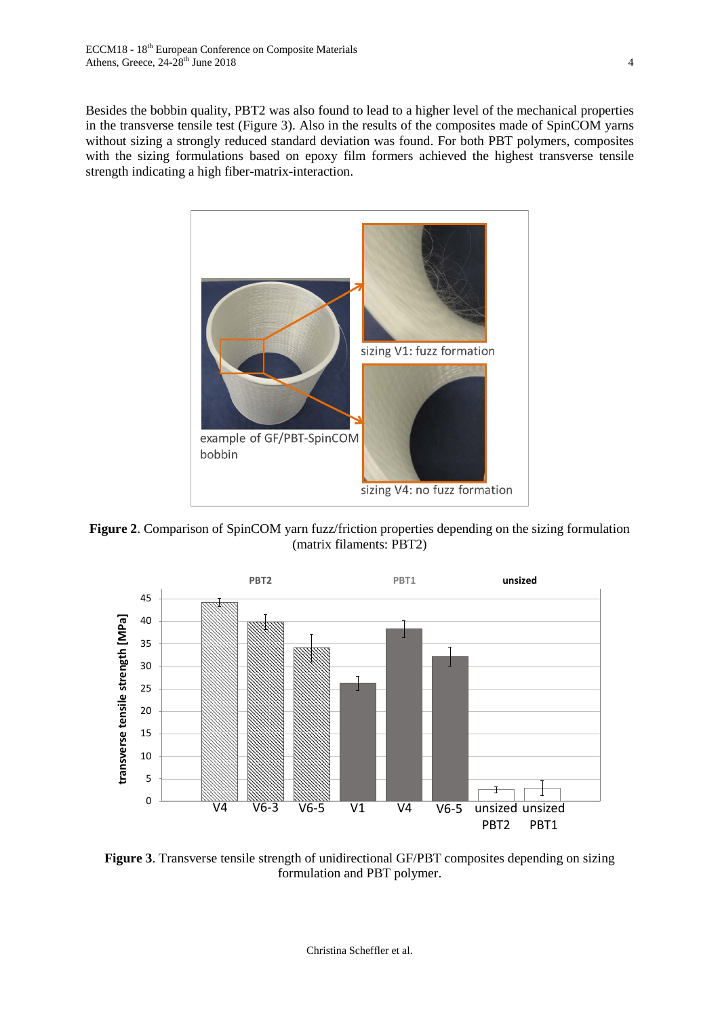Besides the bobbin quality, PBT2 was also found to lead to a higher level of the mechanical properties in the transverse tensile test [\(Figure 3\)](#page-3-1). Also in the results of the composites made of SpinCOM yarns without sizing a strongly reduced standard deviation was found. For both PBT polymers, composites with the sizing formulations based on epoxy film formers achieved the highest transverse tensile strength indicating a high fiber-matrix-interaction.



<span id="page-3-0"></span>**Figure 2**. Comparison of SpinCOM yarn fuzz/friction properties depending on the sizing formulation (matrix filaments: PBT2)



<span id="page-3-1"></span>**Figure 3**. Transverse tensile strength of unidirectional GF/PBT composites depending on sizing formulation and PBT polymer.

Christina Scheffler et al.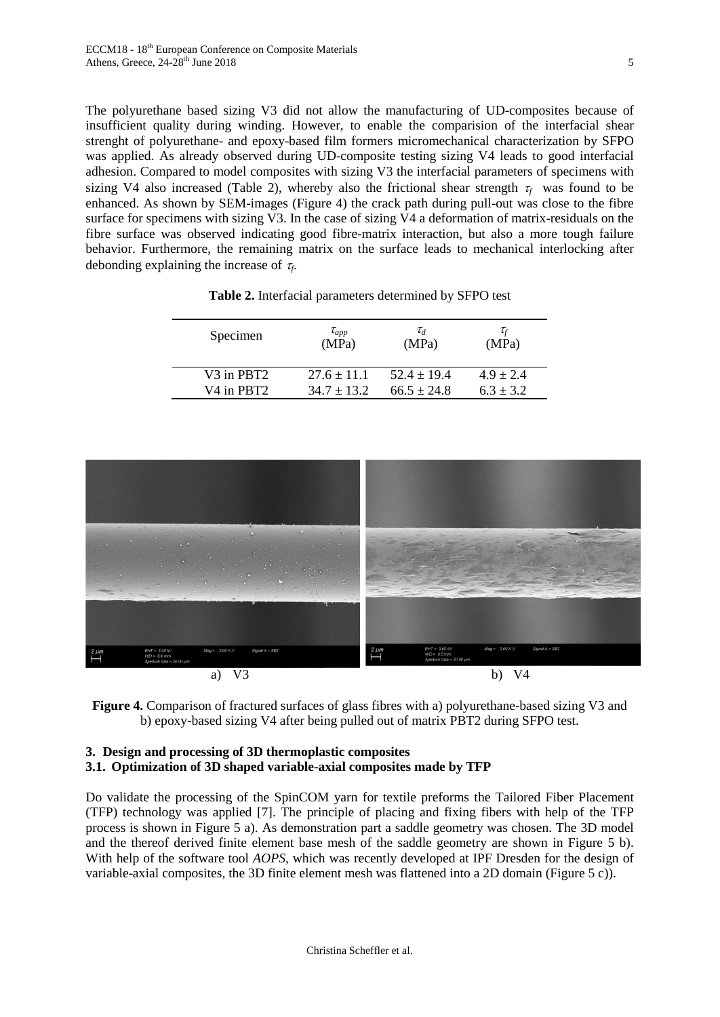The polyurethane based sizing V3 did not allow the manufacturing of UD-composites because of insufficient quality during winding. However, to enable the comparision of the interfacial shear strenght of polyurethane- and epoxy-based film formers micromechanical characterization by SFPO was applied. As already observed during UD-composite testing sizing V4 leads to good interfacial adhesion. Compared to model composites with sizing V3 the interfacial parameters of specimens with sizing V4 also increased [\(Table 2\)](#page-4-0), whereby also the frictional shear strength  $\tau_f$  was found to be enhanced. As shown by SEM-images [\(Figure 4\)](#page-4-1) the crack path during pull-out was close to the fibre surface for specimens with sizing  $\overline{V}3$ . In the case of sizing  $\overline{V}4$  a deformation of matrix-residuals on the fibre surface was observed indicating good fibre-matrix interaction, but also a more tough failure behavior. Furthermore, the remaining matrix on the surface leads to mechanical interlocking after debonding explaining the increase of <sup>τ</sup>*f*.

<span id="page-4-0"></span>

| $\tau_{app}$<br>(MPa) | $\tau_d$<br>(MPa) | $\tau_{\scriptscriptstyle f}$<br>(MPa) |
|-----------------------|-------------------|----------------------------------------|
| $27.6 + 11.1$         | $52.4 + 19.4$     | $4.9 + 2.4$<br>$6.3 \pm 3.2$           |
|                       | $34.7 + 13.2$     | $66.5 \pm 24.8$                        |

**Table 2.** Interfacial parameters determined by SFPO test



<span id="page-4-1"></span>**Figure 4.** Comparison of fractured surfaces of glass fibres with a) polyurethane-based sizing V3 and b) epoxy-based sizing V4 after being pulled out of matrix PBT2 during SFPO test.

## **3. Design and processing of 3D thermoplastic composites 3.1. Optimization of 3D shaped variable-axial composites made by TFP**

Do validate the processing of the SpinCOM yarn for textile preforms the Tailored Fiber Placement (TFP) technology was applied [\[7\].](#page-7-4) The principle of placing and fixing fibers with help of the TFP process is shown in [Figure 5](#page-5-0) a). As demonstration part a saddle geometry was chosen. The 3D model and the thereof derived finite element base mesh of the saddle geometry are shown in [Figure 5](#page-5-0) b). With help of the software tool *AOPS*, which was recently developed at IPF Dresden for the design of variable-axial composites, the 3D finite element mesh was flattened into a 2D domain [\(Figure 5](#page-5-0) c)).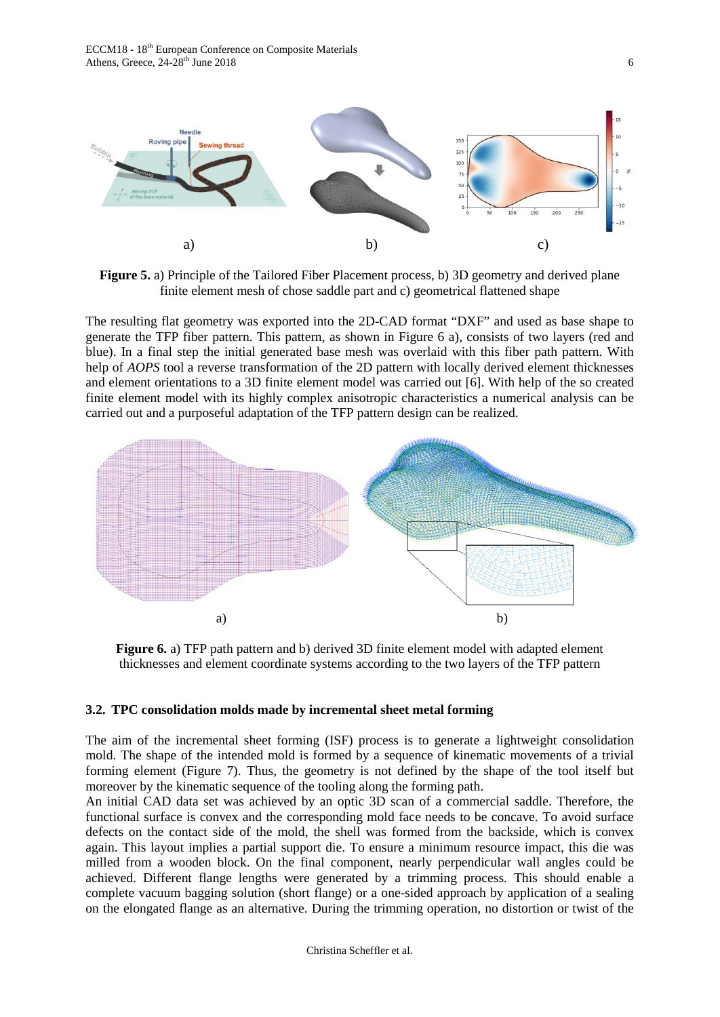ECCM18 - 18<sup>th</sup> European Conference on Composite Materials Athens, Greece,  $24-28$ <sup>th</sup> June 2018 6



<span id="page-5-0"></span>**Figure 5.** a) Principle of the Tailored Fiber Placement process, b) 3D geometry and derived plane finite element mesh of chose saddle part and c) geometrical flattened shape

The resulting flat geometry was exported into the 2D-CAD format "DXF" and used as base shape to generate the TFP fiber pattern. This pattern, as shown in [Figure 6](#page-5-1) a), consists of two layers (red and blue). In a final step the initial generated base mesh was overlaid with this fiber path pattern. With help of *AOPS* tool a reverse transformation of the 2D pattern with locally derived element thicknesses and element orientations to a 3D finite element model was carried out [\[6\].](#page-7-5) With help of the so created finite element model with its highly complex anisotropic characteristics a numerical analysis can be carried out and a purposeful adaptation of the TFP pattern design can be realized.



<span id="page-5-1"></span>**Figure 6.** a) TFP path pattern and b) derived 3D finite element model with adapted element thicknesses and element coordinate systems according to the two layers of the TFP pattern

## **3.2. TPC consolidation molds made by incremental sheet metal forming**

The aim of the incremental sheet forming (ISF) process is to generate a lightweight consolidation mold. The shape of the intended mold is formed by a sequence of kinematic movements of a trivial forming element [\(Figure 7\)](#page-6-0). Thus, the geometry is not defined by the shape of the tool itself but moreover by the kinematic sequence of the tooling along the forming path.

An initial CAD data set was achieved by an optic 3D scan of a commercial saddle. Therefore, the functional surface is convex and the corresponding mold face needs to be concave. To avoid surface defects on the contact side of the mold, the shell was formed from the backside, which is convex again. This layout implies a partial support die. To ensure a minimum resource impact, this die was milled from a wooden block. On the final component, nearly perpendicular wall angles could be achieved. Different flange lengths were generated by a trimming process. This should enable a complete vacuum bagging solution (short flange) or a one-sided approach by application of a sealing on the elongated flange as an alternative. During the trimming operation, no distortion or twist of the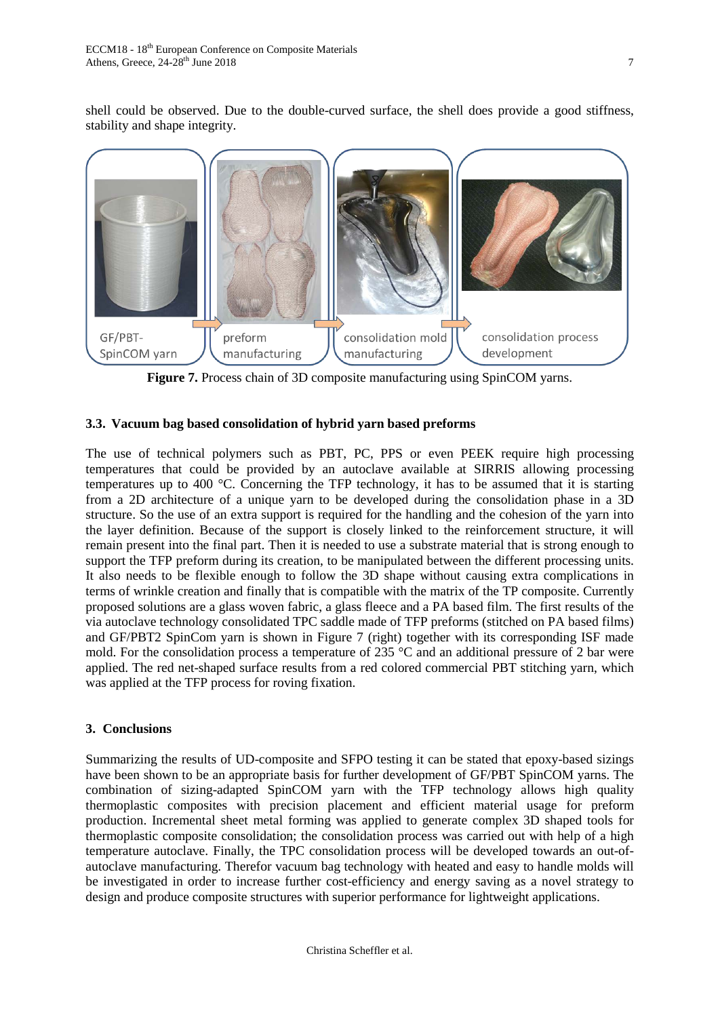shell could be observed. Due to the double-curved surface, the shell does provide a good stiffness, stability and shape integrity.



**Figure 7.** Process chain of 3D composite manufacturing using SpinCOM yarns.

## <span id="page-6-0"></span>**3.3. Vacuum bag based consolidation of hybrid yarn based preforms**

The use of technical polymers such as PBT, PC, PPS or even PEEK require high processing temperatures that could be provided by an autoclave available at SIRRIS allowing processing temperatures up to 400 °C. Concerning the TFP technology, it has to be assumed that it is starting from a 2D architecture of a unique yarn to be developed during the consolidation phase in a 3D structure. So the use of an extra support is required for the handling and the cohesion of the yarn into the layer definition. Because of the support is closely linked to the reinforcement structure, it will remain present into the final part. Then it is needed to use a substrate material that is strong enough to support the TFP preform during its creation, to be manipulated between the different processing units. It also needs to be flexible enough to follow the 3D shape without causing extra complications in terms of wrinkle creation and finally that is compatible with the matrix of the TP composite. Currently proposed solutions are a glass woven fabric, a glass fleece and a PA based film. The first results of the via autoclave technology consolidated TPC saddle made of TFP preforms (stitched on PA based films) and GF/PBT2 SpinCom yarn is shown in [Figure 7](#page-6-0) (right) together with its corresponding ISF made mold. For the consolidation process a temperature of 235 °C and an additional pressure of 2 bar were applied. The red net-shaped surface results from a red colored commercial PBT stitching yarn, which was applied at the TFP process for roving fixation.

# **3. Conclusions**

Summarizing the results of UD-composite and SFPO testing it can be stated that epoxy-based sizings have been shown to be an appropriate basis for further development of GF/PBT SpinCOM yarns. The combination of sizing-adapted SpinCOM yarn with the TFP technology allows high quality thermoplastic composites with precision placement and efficient material usage for preform production. Incremental sheet metal forming was applied to generate complex 3D shaped tools for thermoplastic composite consolidation; the consolidation process was carried out with help of a high temperature autoclave. Finally, the TPC consolidation process will be developed towards an out-ofautoclave manufacturing. Therefor vacuum bag technology with heated and easy to handle molds will be investigated in order to increase further cost-efficiency and energy saving as a novel strategy to design and produce composite structures with superior performance for lightweight applications.